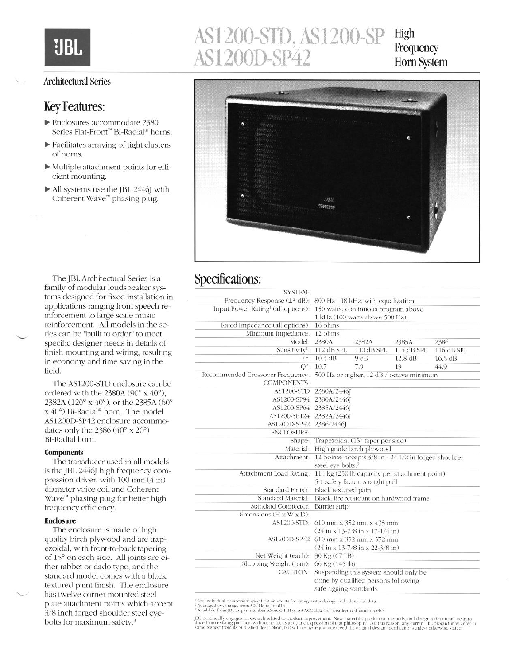UBI.

### <sup>L</sup>**Architectural** Series

### Key Features:

- b Enclosures accommodate 2380 Series Flat-Front<sup>™</sup> Bi-Radial<sup>®</sup> horns.
- $\blacktriangleright$  Facilitates arraying of tight clusters of horns.
- $\blacktriangleright$  Multiple attachment points for efficient mounting.
- $\blacktriangleright$  All systems use the JBL 2446J with Coherent Wave'" phasing plug.



**High** 



## Specifications:

| Frequency Response (±3 dB):<br>800 Hz - 18 kHz, with equalization                                   |            |                                                                                          |                                                                            |  |
|-----------------------------------------------------------------------------------------------------|------------|------------------------------------------------------------------------------------------|----------------------------------------------------------------------------|--|
| Input Power Rating <sup>1</sup> (all options):<br>150 watts, continuous program above               |            |                                                                                          |                                                                            |  |
| 1 kHz (100 watts above 500 Hz)                                                                      |            |                                                                                          |                                                                            |  |
| 16 ohms                                                                                             |            |                                                                                          |                                                                            |  |
| 12 ohms                                                                                             |            |                                                                                          |                                                                            |  |
| Model:<br>2380A                                                                                     | 2382A      | 2385A                                                                                    | 2386                                                                       |  |
| Sensitivity <sup>1</sup> :<br>112 dB SPL                                                            | 110 dB SPL | 114 dB SPL                                                                               | 116 dB SPL                                                                 |  |
| 10.3 dB                                                                                             | 9 dB       | 12.8 dB                                                                                  | 16.5 dB                                                                    |  |
| 10.7                                                                                                | 7.9        | 19                                                                                       | 44.9                                                                       |  |
| Recommended Crossover Frequency:<br>500 Hz or higher, 12 dB / octave minimum                        |            |                                                                                          |                                                                            |  |
|                                                                                                     |            |                                                                                          |                                                                            |  |
| <b>AS1200-STD</b><br>2380A/2446J                                                                    |            |                                                                                          |                                                                            |  |
| 2380A/2446J<br>AS1200-SP94                                                                          |            |                                                                                          |                                                                            |  |
| AS1200-SP64<br>2385A/2446J                                                                          |            |                                                                                          |                                                                            |  |
| AS1200-SP124<br>2382A/2446J                                                                         |            |                                                                                          |                                                                            |  |
| 2386/2446J<br>AS1200D-SP42                                                                          |            |                                                                                          |                                                                            |  |
|                                                                                                     |            |                                                                                          |                                                                            |  |
| Trapezoidal (15° taper per side)<br>Shape:                                                          |            |                                                                                          |                                                                            |  |
| High grade birch plywood<br>Material:                                                               |            |                                                                                          |                                                                            |  |
| Attachment:<br>12 points; accepts 3/8 in - 24 1/2 in forged shoulder                                |            |                                                                                          |                                                                            |  |
|                                                                                                     |            |                                                                                          |                                                                            |  |
| Attachment Load Rating:<br>114 kg (250 lb capacity per attachment point)                            |            |                                                                                          |                                                                            |  |
|                                                                                                     |            |                                                                                          |                                                                            |  |
| Standard Finish:                                                                                    |            |                                                                                          |                                                                            |  |
| Standard Material:<br>Black, fire retardant on hardwood frame                                       |            |                                                                                          |                                                                            |  |
| <b>Standard Connector:</b><br><b>Barrier</b> strip                                                  |            |                                                                                          |                                                                            |  |
|                                                                                                     |            |                                                                                          |                                                                            |  |
| AS1200-STD: 610 mm x 352 mm x 435 mm<br>$(24 \text{ in } x 13-7/8 \text{ in } x 17-1/4 \text{ in})$ |            |                                                                                          |                                                                            |  |
|                                                                                                     |            |                                                                                          | AS1200D-SP42 610 mm x 352 mm x 572 mm<br>$(24$ in x 13-7/8 in x 22-3/8 in) |  |
| Net Weight (each):                                                                                  |            |                                                                                          |                                                                            |  |
| Shipping Weight (pair):                                                                             |            |                                                                                          |                                                                            |  |
|                                                                                                     |            |                                                                                          |                                                                            |  |
| done by qualified persons following                                                                 |            |                                                                                          |                                                                            |  |
| safe rigging standards.                                                                             |            |                                                                                          |                                                                            |  |
|                                                                                                     | CAUTION:   | steel eve bolts. <sup>3</sup><br>Black textured paint<br>30 Kg (67 LB)<br>66 Kg (145 lb) | 5:1 safety factor, straight pull<br>Suspending this system should only be  |  |

<sup>1</sup> See individual component specification sheets for rating methodology and additional data.<br><sup>2</sup> Averaged over range from 500 Hz to 16 kHz<br><sup>5</sup> Available from JBL as part number AS-ACC-EBI or AS-ACC-EB2 (for weather-resist

JBL continually engages in research related to product improvement. New materials, production methods, and design refinements are introduced into existing products without notice as a routine expression of that philosophy.

The JBL Architectural Series is a family of modular loudspeaker systems designed for fixed installation in applications ranging from speech reinforcement to large scale music reinforcement. All models in the series can be "built to order" to meet specific designer needs in details of finish mounting and wiring, resulting in economy and time saving in the field.

The AS1200-STD enclosure can be ordered with the 2380A ( $90^\circ$  x  $40^\circ$ ), 2382A (120° x 40°), or the 2385A (60° x 40°) Bi-Radial® horn. The model AS1200D-SP42 enclosure accommodates only the  $2386 (40° \times 20°)$ Bi-Radial horn.

#### **Components**

The transducer used in all models is the JBL 2446J high frequency compression driver, with 100 mm (4 in) diameter voice coil and Coherent Wave'" phasing plug for better high frequency efficiency.

#### **Enclosure**

The enclosure is made of high quality birch plywood and are trapezoidal, with front-to-back tapering of 15" on each side. All joints are either rabbet or dado type, and the standard model comes with a black textured paint finish. The enclosure has twelve corner mounted steel plate attachment points which accept 3/8 inch forged shoulder steel eyebolts for maximum safety.?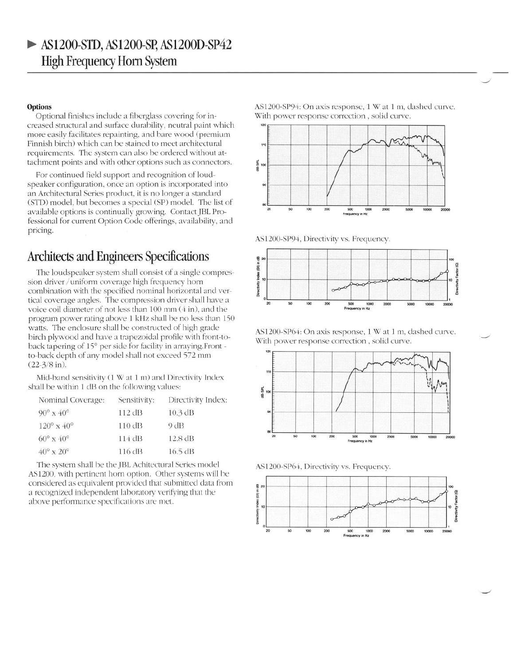# b AS1200-STD, AS1200-Sp, AS12OOD-SP42 High Frequency Horn System

#### **Options**

Optional finishes include a fiberglass covering for increased structural and surface durability, neutral paint which more easily facilitates repainting, and bare wood (premium Finnish birch) which can be stained to meet architectural requirements. The system can also be ordered without attachment points and with other options such as connectors.

For continued field support and recognition of loudspeaker configuration, once an option is incorporated into an Architectural Series product, it is no longer a standard (STD) model, but becomes a special (SP) model. The list of available options is continually growing. Contact JBL Professional for current Option Code offerings, availability, and pricing.

## Architects and Engineers Specifications

The loudspeaker system shall consist of a single compression driver /uniform coverage high frequency horn combination with the specified nominal horizontal and vertical coverage angles. The compression driver shall have a voice coil diameter of not less than 100 mm (4 in), and the program power rating above 1 kHz shall be no less than 150 watts. The enclosure shall be constructed of high grade birch plywood and have a trapezoidal profile with front-toback tapering of 15" per side for facility in arraying.Front to-back depth of any model shall not exceed 572 mm (22-3/8 in).

Mid-band sensitivity (1 W at 1 m) and Directivity Index shall be within 1 dB on the following values:

| Sensitivity: | Directivity Index: |  |
|--------------|--------------------|--|
| 112 dB       | 10.3 dB            |  |
| 110 dB       | 9 dB               |  |
| 114 dB       | 12.8 dB            |  |
| 116 dB       | 16.5 dB            |  |
|              |                    |  |

The system shall be the JBL. Achitectural Series model AS1200, with pertinent horn option. Other systems will be considered as equivalent provided that submitted data from a recognized independent laboratory verifying that the above performance specifications are met.

AS1200-SP94: On axis response, 1 W at 1 m, dashed curve. With power response correction , solid curve.



AS1200-SP94, Directivity vs. Frequency.



AS1200-SP64: On axis response, 1 W at 1 m, dashed curve. With power response correction , solid curve.



AS1200-SP64, Directivity vs. Frequency.